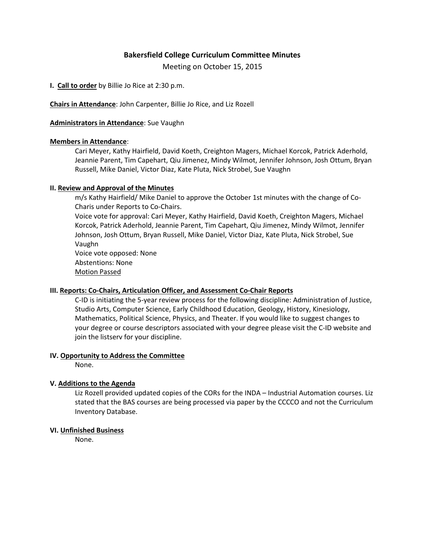# **Bakersfield College Curriculum Committee Minutes**

Meeting on October 15, 2015

**I. Call to order** by Billie Jo Rice at 2:30 p.m.

**Chairs in Attendance**: John Carpenter, Billie Jo Rice, and Liz Rozell

### **Administrators in Attendance**: Sue Vaughn

### **Members in Attendance**:

Cari Meyer, Kathy Hairfield, David Koeth, Creighton Magers, Michael Korcok, Patrick Aderhold, Jeannie Parent, Tim Capehart, Qiu Jimenez, Mindy Wilmot, Jennifer Johnson, Josh Ottum, Bryan Russell, Mike Daniel, Victor Diaz, Kate Pluta, Nick Strobel, Sue Vaughn

### **II. Review and Approval of the Minutes**

m/s Kathy Hairfield/ Mike Daniel to approve the October 1st minutes with the change of Co-Charis under Reports to Co-Chairs.

Voice vote for approval: Cari Meyer, Kathy Hairfield, David Koeth, Creighton Magers, Michael Korcok, Patrick Aderhold, Jeannie Parent, Tim Capehart, Qiu Jimenez, Mindy Wilmot, Jennifer Johnson, Josh Ottum, Bryan Russell, Mike Daniel, Victor Diaz, Kate Pluta, Nick Strobel, Sue Vaughn

Voice vote opposed: None Abstentions: None Motion Passed

# **III. Reports: Co-Chairs, Articulation Officer, and Assessment Co-Chair Reports**

C-ID is initiating the 5-year review process for the following discipline: Administration of Justice, Studio Arts, Computer Science, Early Childhood Education, Geology, History, Kinesiology, Mathematics, Political Science, Physics, and Theater. If you would like to suggest changes to your degree or course descriptors associated with your degree please visit the C-ID website and join the listserv for your discipline.

#### **IV. Opportunity to Address the Committee**

None.

# **V. Additions to the Agenda**

Liz Rozell provided updated copies of the CORs for the INDA – Industrial Automation courses. Liz stated that the BAS courses are being processed via paper by the CCCCO and not the Curriculum Inventory Database.

### **VI. Unfinished Business**

None.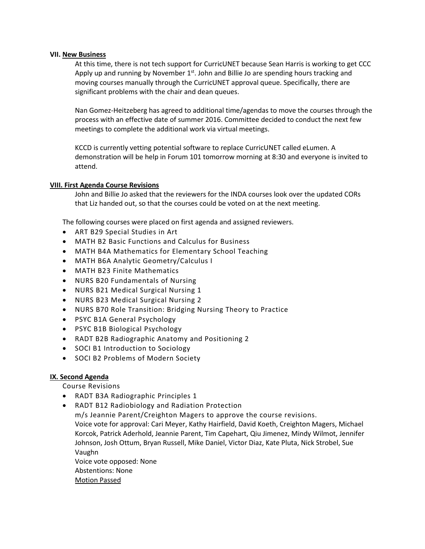### **VII. New Business**

At this time, there is not tech support for CurricUNET because Sean Harris is working to get CCC Apply up and running by November 1<sup>st</sup>. John and Billie Jo are spending hours tracking and moving courses manually through the CurricUNET approval queue. Specifically, there are significant problems with the chair and dean queues.

Nan Gomez-Heitzeberg has agreed to additional time/agendas to move the courses through the process with an effective date of summer 2016. Committee decided to conduct the next few meetings to complete the additional work via virtual meetings.

KCCD is currently vetting potential software to replace CurricUNET called eLumen. A demonstration will be help in Forum 101 tomorrow morning at 8:30 and everyone is invited to attend.

### **VIII. First Agenda Course Revisions**

John and Billie Jo asked that the reviewers for the INDA courses look over the updated CORs that Liz handed out, so that the courses could be voted on at the next meeting.

The following courses were placed on first agenda and assigned reviewers.

- ART B29 Special Studies in Art
- MATH B2 Basic Functions and Calculus for Business
- MATH B4A Mathematics for Elementary School Teaching
- MATH B6A Analytic Geometry/Calculus I
- MATH B23 Finite Mathematics
- NURS B20 Fundamentals of Nursing
- NURS B21 Medical Surgical Nursing 1
- NURS B23 Medical Surgical Nursing 2
- NURS B70 Role Transition: Bridging Nursing Theory to Practice
- PSYC B1A General Psychology
- PSYC B1B Biological Psychology
- RADT B2B Radiographic Anatomy and Positioning 2
- SOCI B1 Introduction to Sociology
- SOCI B2 Problems of Modern Society

# **IX. Second Agenda**

Course Revisions

- RADT B3A Radiographic Principles 1
- RADT B12 Radiobiology and Radiation Protection m/s Jeannie Parent/Creighton Magers to approve the course revisions. Voice vote for approval: Cari Meyer, Kathy Hairfield, David Koeth, Creighton Magers, Michael Korcok, Patrick Aderhold, Jeannie Parent, Tim Capehart, Qiu Jimenez, Mindy Wilmot, Jennifer Johnson, Josh Ottum, Bryan Russell, Mike Daniel, Victor Diaz, Kate Pluta, Nick Strobel, Sue Vaughn Voice vote opposed: None Abstentions: None

Motion Passed